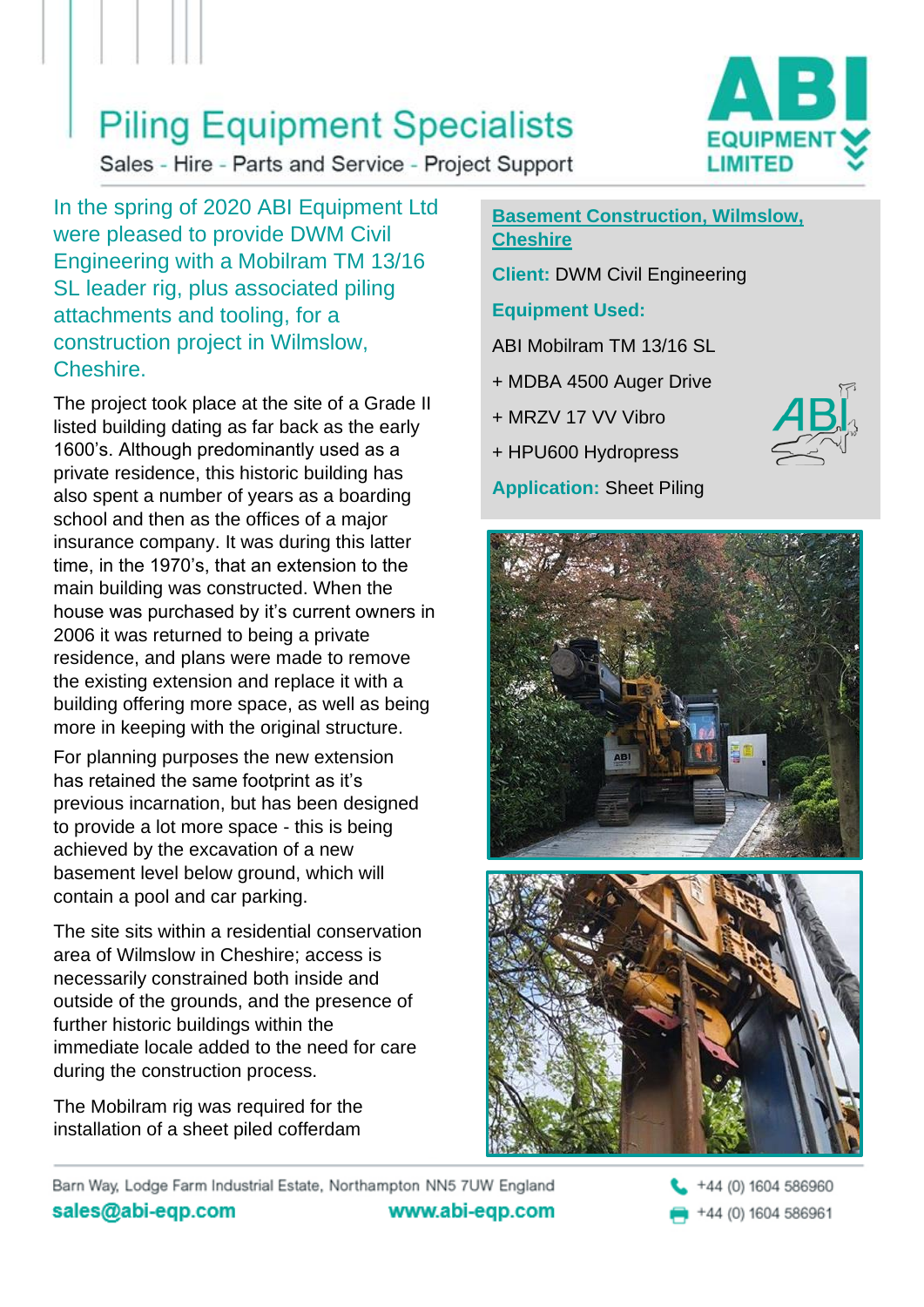### **Piling Equipment Specialists**

Sales - Hire - Parts and Service - Project Support

In the spring of 2020 ABI Equipment Ltd were pleased to provide DWM Civil Engineering with a Mobilram TM 13/16 SL leader rig, plus associated piling attachments and tooling, for a construction project in Wilmslow, Cheshire.

The project took place at the site of a Grade II listed building dating as far back as the early 1600's. Although predominantly used as a private residence, this historic building has also spent a number of years as a boarding school and then as the offices of a major insurance company. It was during this latter time, in the 1970's, that an extension to the main building was constructed. When the house was purchased by it's current owners in 2006 it was returned to being a private residence, and plans were made to remove the existing extension and replace it with a building offering more space, as well as being more in keeping with the original structure.

For planning purposes the new extension has retained the same footprint as it's previous incarnation, but has been designed to provide a lot more space - this is being achieved by the excavation of a new basement level below ground, which will contain a pool and car parking.

The site sits within a residential conservation area of Wilmslow in Cheshire; access is necessarily constrained both inside and outside of the grounds, and the presence of further historic buildings within the immediate locale added to the need for care during the construction process.

The Mobilram rig was required for the installation of a sheet piled cofferdam

#### **Basement Construction, Wilmslow, Cheshire**

**Client:** DWM Civil Engineering

### **Equipment Used:**

ABI Mobilram TM 13/16 SL

- + MDBA 4500 Auger Drive
- + MRZV 17 VV Vibro
- + HPU600 Hydropress
- **Application:** Sheet Piling





Barn Way, Lodge Farm Industrial Estate, Northampton NN5 7UW England sales@abi-eqp.com www.abi-eqp.com

+44 (0) 1604 586960 +44 (0) 1604 586961

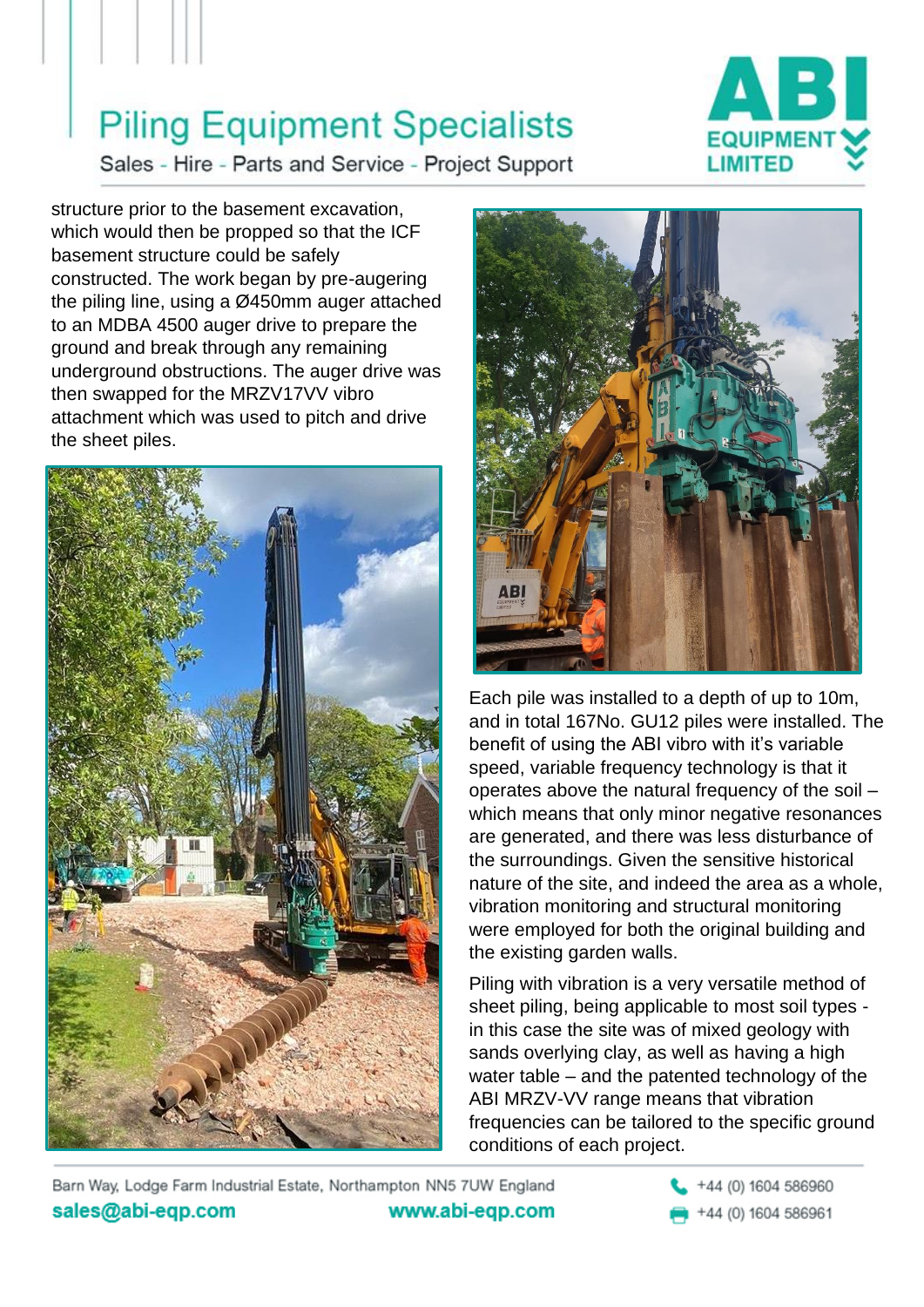# **Piling Equipment Specialists**



Sales - Hire - Parts and Service - Project Support

structure prior to the basement excavation, which would then be propped so that the ICF basement structure could be safely constructed. The work began by pre-augering the piling line, using a Ø450mm auger attached to an MDBA 4500 auger drive to prepare the ground and break through any remaining underground obstructions. The auger drive was then swapped for the MRZV17VV vibro attachment which was used to pitch and drive the sheet piles.





Each pile was installed to a depth of up to 10m, and in total 167No. GU12 piles were installed. The benefit of using the ABI vibro with it's variable speed, variable frequency technology is that it operates above the natural frequency of the soil – which means that only minor negative resonances are generated, and there was less disturbance of the surroundings. Given the sensitive historical nature of the site, and indeed the area as a whole, vibration monitoring and structural monitoring were employed for both the original building and the existing garden walls.

Piling with vibration is a very versatile method of sheet piling, being applicable to most soil types in this case the site was of mixed geology with sands overlying clay, as well as having a high water table – and the patented technology of the ABI MRZV-VV range means that vibration frequencies can be tailored to the specific ground conditions of each project.

Barn Way, Lodge Farm Industrial Estate, Northampton NN5 7UW England sales@abi-eqp.com www.abi-eqp.com +44 (0) 1604 586960

+44 (0) 1604 586961